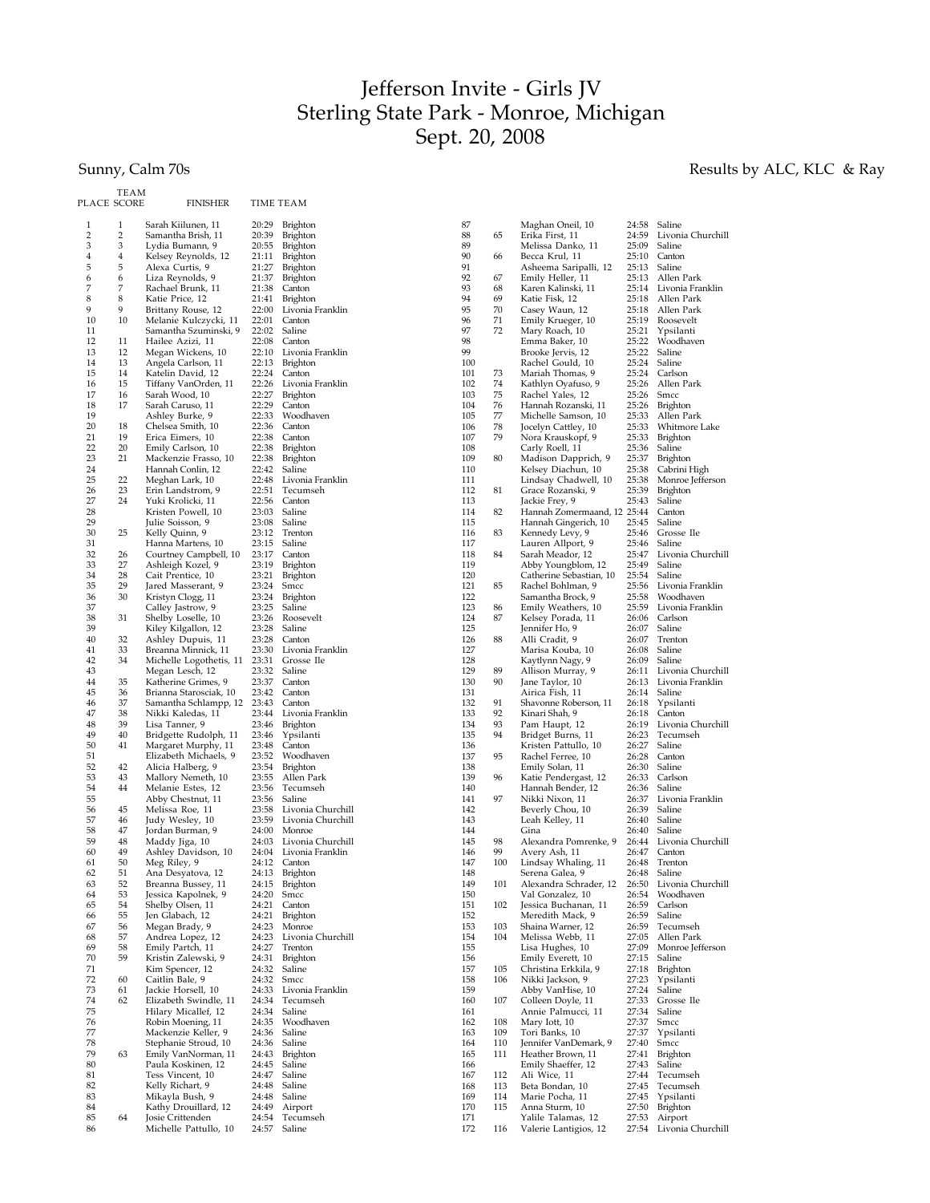## Jefferson Invite - Girls JV Sterling State Park - Monroe, Michigan Sept. 20, 2008

## Sunny, Calm 70s Results by ALC, KLC & Ray

|             | TEAM     |                                             |                |                              |
|-------------|----------|---------------------------------------------|----------------|------------------------------|
| PLACE SCORE |          | FINISHER                                    | TIME TEAM      |                              |
| 1           | 1        | Sarah Kiilunen, 11                          | 20:29          | Brighton                     |
| 2           | 2        | Samantha Brish, 11                          | 20:39          | Brighton                     |
| 3           | 3        | Lydia Bumann, 9                             | 20:55          | Brighton                     |
| 4           | 4        | Kelsey Reynolds, 12                         | 21:11          | Brighton                     |
| 5<br>6      | 5<br>6   | Alexa Curtis, 9<br>Liza Reynolds, 9         | 21:27<br>21:37 | Brighton<br>Brighton         |
| 7           | 7        | Rachael Brunk, 11                           | 21:38          | Canton                       |
| 8           | 8        | Katie Price, 12                             | 21:41          | Brighton                     |
| 9           | 9        | Brittany Rouse, 12                          | 22:00          | Livonia Franklin             |
| 10          | 10       | Melanie Kulczycki, 11                       | 22:01          | Canton                       |
| 11          |          | Samantha Szuminski, 9                       | 22:02          | Saline                       |
| 12<br>13    | 11<br>12 | Hailee Azizi, 11                            | 22:08<br>22:10 | Canton<br>Livonia Franklin   |
| 14          | 13       | Megan Wickens, 10<br>Angela Carlson, 11     | 22:13          | Brighton                     |
| 15          | 14       | Katelin David, 12                           | 22:24          | Canton                       |
| 16          | 15       | Tiffany VanOrden, 11                        | 22:26          | Livonia Franklin             |
| 17          | 16       | Sarah Wood, 10                              | 22:27          | Brighton                     |
| 18<br>19    | 17       | Sarah Caruso, 11                            | 22:29          | Canton<br>Woodhaven          |
| 20          | 18       | Ashley Burke, 9<br>Chelsea Smith, 10        | 22:33<br>22:36 | Canton                       |
| 21          | 19       | Erica Eimers, 10                            | 22:38          | Canton                       |
| 22          | 20       | Emily Carlson, 10                           | 22:38          | Brighton                     |
| 23          | 21       | Mackenzie Frasso, 10                        | 22:38          | Brighton                     |
| 24          |          | Hannah Conlin, 12                           | 22:42          | Saline                       |
| 25<br>26    | 22<br>23 | Meghan Lark, 10<br>Erin Landstrom, 9        | 22:48<br>22:51 | Livonia Franklin<br>Tecumseh |
| 27          | 24       | Yuki Krolicki, 11                           | 22:56          | Canton                       |
| 28          |          | Kristen Powell, 10                          | 23:03          | Saline                       |
| 29          |          | Julie Soisson, 9                            | 23:08          | Saline                       |
| 30          | 25       | Kelly Quinn, 9                              | 23:12          | Trenton                      |
| 31          |          | Hanna Martens, 10                           | 23:15          | Saline                       |
| 32<br>33    | 26<br>27 | Courtney Campbell, 10<br>Ashleigh Kozel, 9  | 23:17<br>23:19 | Canton<br>Brighton           |
| 34          | 28       | Cait Prentice, 10                           | 23:21          | Brighton                     |
| 35          | 29       | Jared Masserant, 9                          | 23:24          | Smcc                         |
| 36          | 30       | Kristyn Clogg, 11                           | 23:24          | Brighton                     |
| 37          |          | Calley Jastrow, 9                           | 23:25          | Saline                       |
| 38<br>39    | 31       | Shelby Loselle, 10                          | 23:26<br>23:28 | Roosevelt<br>Saline          |
| 40          | 32       | Kiley Kilgallon, 12<br>Ashley Dupuis, 11    | 23:28          | Canton                       |
| 41          | 33       | Breanna Minnick, 11                         | 23:30          | Livonia Franklin             |
| 42          | 34       | Michelle Logothetis, 11                     | 23:31          | Grosse Ile                   |
| 43          |          | Megan Lesch, 12                             | 23:32          | Saline                       |
| 44          | 35       | Katherine Grimes, 9                         | 23:37          | Canton                       |
| 45<br>46    | 36<br>37 | Brianna Starosciak, 10                      | 23:42<br>23:43 | Canton<br>Canton             |
| 47          | 38       | Samantha Schlampp, 12<br>Nikki Kaledas, 11  | 23:44          | Livonia Franklin             |
| 48          | 39       | Lisa Tanner, 9                              | 23:46          | Brighton                     |
| 49          | 40       | Bridgette Rudolph, 11                       | 23:46          | Ypsilanti                    |
| 50          | 41       | Margaret Murphy, 11                         | 23:48          | Canton                       |
| 51<br>52    | 42       | Elizabeth Michaels, 9                       | 23:52          | Woodhaven                    |
| 53          | 43       | Alicia Halberg, 9<br>Mallory Nemeth, 10     | 23:54<br>23:55 | Brighton<br>Allen Park       |
| 54          | 44       | Melanie Estes, 12                           | 23:56          | Tecumseh                     |
| 55          |          | Abby Chestnut, 11                           | 23:56          | Saline                       |
| 56          | 45       | Melissa Roe, 11                             | 23:58          | Livonia Churchill            |
| 57          | 46       | Judy Wesley, 10                             | 23:59          | Livonia Churchill            |
| 58<br>59    | 47<br>48 | Jordan Burman, 9<br>Maddy Jiga, 10          | 24:00<br>24:03 | Monroe<br>Livonia Churchill  |
| 60          | 49       | Ashley Davidson, 10                         | 24:04          | Livonia Franklin             |
| 61          | 50       | Meg Riley, 9                                | 24:12          | Canton                       |
| 62          | 51       | Ana Desyatova, 12                           | 24:13          | Brighton                     |
| 63          | 52       | Breanna Bussey, 11                          | 24:15          | Brighton                     |
| 64<br>65    | 53<br>54 | Jessica Kapolnek, 9<br>Shelby Olsen, 11     | 24:20<br>24:21 | Smcc<br>Canton               |
| 66          | 55       | Jen Glabach, 12                             | 24:21          | <b>Brighton</b>              |
| 67          | 56       | Megan Brady, 9                              | 24:23          | Monroe                       |
| 68          | 57       | Andrea Lopez, 12                            | 24:23          | Livonia Churchill            |
| 69          | 58       | Emily Partch, 11                            | 24:27          | Trenton                      |
| 70          | 59       | Kristin Zalewski, 9                         | 24:31          | <b>Brighton</b>              |
| 71<br>72    | 60       | Kim Spencer, 12<br>Caitlin Bale, 9          | 24:32<br>24:32 | Saline<br>Smcc               |
| 73          | 61       | Jackie Horsell, 10                          | 24:33          | Livonia Franklin             |
| 74          | 62       | Elizabeth Swindle, 11                       | 24:34          | Tecumseh                     |
| 75          |          | Hilary Micallef, 12                         | 24:34          | Saline                       |
| 76          |          | Robin Moening, 11                           | 24:35          | Woodhaven                    |
| 77<br>78    |          | Mackenzie Keller, 9<br>Stephanie Stroud, 10 | 24:36<br>24:36 | Saline<br>Saline             |
| 79          | 63       | Emily VanNorman, 11                         | 24:43          | <b>Brighton</b>              |
| 80          |          | Paula Koskinen, 12                          | 24:45          | Saline                       |
| 81          |          | Tess Vincent, 10                            | 24:47          | Saline                       |
| 82          |          | Kelly Richart, 9                            | 24:48          | Saline                       |
| 83<br>84    |          | Mikayla Bush, 9                             | 24:48<br>24:49 | Saline                       |
| 85          | 64       | Kathy Drouillard, 12<br>Josie Crittenden    | 24:54          | Airport<br>Tecumseh          |
| 86          |          | Michelle Pattullo, 10                       | 24:57          | Saline                       |
|             |          |                                             |                |                              |

| 87         |     | Maghan Oneil, 10                        | 24:58          | Saline                  |
|------------|-----|-----------------------------------------|----------------|-------------------------|
| 88         | 65  | Erika First, 11                         | 24:59          | Livonia Churchill       |
| 89         |     | Melissa Danko, 11                       | 25:09          | Saline                  |
| 90         | 66  | Becca Krul, 11                          | 25:10          | Canton                  |
| 91         |     | Asheema Saripalli, 12                   | 25:13          | Saline                  |
| 92         | 67  | Emily Heller, 11                        | 25:13          | Allen Park              |
| 93         | 68  | Karen Kalinski, 11                      | 25:14          | Livonia Franklin        |
| 94         | 69  | Katie Fisk, 12                          | 25:18          | Allen Park              |
| 95         | 70  | Casey Waun, 12                          | 25:18          | Allen Park              |
| 96         | 71  | Emily Krueger, 10                       | 25:19          | Roosevelt               |
| 97         | 72  | Mary Roach, 10                          | 25:21          | Ypsilanti               |
| 98         |     | Emma Baker, 10                          | 25:22          | Woodhaven               |
| 99         |     | Brooke Jervis, 12                       | 25:22          | Saline                  |
| 100        |     | Rachel Gould, 10                        | 25:24          | Saline                  |
| 101        | 73  | Mariah Thomas, 9                        | 25:24          | Carlson                 |
| 102        | 74  | Kathlyn Oyafuso, 9                      | 25:26          | Allen Park              |
| 103        | 75  | Rachel Yales, 12                        | 25:26          | Smcc                    |
| 104        | 76  | Hannah Rozanski, 11                     | 25:26          | <b>Brighton</b>         |
| 105        | 77  | Michelle Samson, 10                     | 25:33          | Allen Park              |
| 106        | 78  | Jocelyn Cattley, 10                     | 25:33          | Whitmore Lake           |
| 107        | 79  | Nora Krauskopf, 9                       | 25:33          | Brighton                |
| 108        |     | Carly Roell, 11                         | 25:36          | Saline                  |
| 109        | 80  | Madison Dapprich, 9                     | 25:37          | Brighton                |
| 110        |     | Kelsey Diachun, 10                      | 25:38          | Cabrini High            |
| 111        |     | Lindsay Chadwell, 10                    | 25:38          | Monroe Jefferson        |
| 112        | 81  | Grace Rozanski, 9                       | 25:39          | Brighton                |
| 113        |     | Jackie Frey, 9                          | 25:43          | Saline                  |
| 114        | 82  | Hannah Zomermaand, 12 25:44             |                | Canton                  |
| 115        |     | Hannah Gingerich, 10                    | 25:45          | Saline                  |
| 116        | 83  | Kennedy Levy, 9                         | 25:46          | Grosse Ile              |
| 117        |     | Lauren Allport, 9                       | 25:46          | Saline                  |
| 118        | 84  | Sarah Meador, 12                        | 25:47          | Livonia Churchill       |
| 119        |     | Abby Youngblom, 12                      | 25:49          | Saline                  |
| 120        |     | Catherine Sebastian, 10                 | 25:54          | Saline                  |
| 121        | 85  | Rachel Bohlman, 9                       | 25:56          | Livonia Franklin        |
| 122        |     | Samantha Brock, 9                       | 25:58          | Woodhaven               |
| 123        | 86  | Emily Weathers, 10                      | 25:59          | Livonia Franklin        |
| 124        | 87  | Kelsey Porada, 11                       | 26:06          | Carlson                 |
| 125        |     | Jennifer Ho, 9                          | 26:07          | Saline                  |
| 126        | 88  | Alli Cradit, 9                          | 26:07          | Trenton                 |
| 127        |     | Marisa Kouba, 10                        | 26:08          | Saline                  |
| 128        |     | Kaytlynn Nagy, 9                        | 26:09          | Saline                  |
| 129        | 89  | Allison Murray, 9                       | 26:11          | Livonia Churchill       |
| 130        | 90  | Jane Taylor, 10                         | 26:13          | Livonia Franklin        |
| 131        |     | Airica Fish, 11                         | 26:14          | Saline                  |
| 132        | 91  | Shavonne Roberson, 11                   | 26:18          | Ypsilanti               |
| 133        | 92  | Kinari Shah, 9                          | 26:18          | Canton                  |
| 134        | 93  | Pam Haupt, 12                           | 26:19          | Livonia Churchill       |
| 135        | 94  | Bridget Burns, 11                       | 26:23          | Tecumseh                |
| 136        |     | Kristen Pattullo, 10                    | 26:27          | Saline                  |
| 137<br>138 | 95  | Rachel Ferree, 10                       | 26:28          | Canton<br>Saline        |
|            |     | Emily Solan, 11                         | 26:30          |                         |
| 139<br>140 | 96  | Katie Pendergast, 12                    | 26:33<br>26:36 | Carlson<br>Saline       |
| 141        | 97  | Hannah Bender, 12                       | 26:37          | Livonia Franklin        |
| 142        |     | Nikki Nixon, 11                         | 26:39          | Saline                  |
| 143        |     | Beverly Chou, 10                        | 26:40          | Saline                  |
| 144        |     | Leah Kelley, 11<br>Gina                 | 26:40          | Saline                  |
| 145        | 98  | Alexandra Pomrenke, 9                   | 26:44          | Livonia Churchill       |
| 146        | 99  | Avery Ash, 11                           | 26:47          | Canton                  |
| 147        |     |                                         |                |                         |
| 148        |     |                                         |                |                         |
| 149        | 100 | Lindsay Whaling, 11                     | 26:48          | Trenton                 |
|            |     | Serena Galea, 9                         | 26:48          | Saline                  |
|            | 101 | Alexandra Schrader, 12                  | 26:50          | Livonia Churchill       |
| 150        |     | Val Gonzalez, 10                        | 26:54          | Woodhaven               |
| 151        | 102 | Jessica Buchanan, 11                    | 26:59          | Carlson                 |
| 152        |     | Meredith Mack, 9                        | 26:59          | Saline                  |
| 153        | 103 | Shaina Warner, 12                       | 26:59          | Tecumseh                |
| 154        | 104 | Melissa Webb, 11                        | 27:05          | Allen Park              |
| 155        |     | Lisa Hughes, 10                         | 27:09          | Monroe Jefferson        |
| 156        |     | Emily Everett, 10                       | 27:15          | Saline                  |
| 157        | 105 | Christina Erkkila, 9                    | 27:18          | Brighton                |
| 158<br>159 | 106 | Nikki Jackson, 9                        | 27:23          | Ypsilanti<br>Saline     |
| 160        | 107 | Abby VanHise, 10                        | 27:24<br>27:33 | Grosse Ile              |
| 161        |     | Colleen Doyle, 11<br>Annie Palmucci, 11 | 27:34          | Saline                  |
| 162        | 108 |                                         |                | Smcc                    |
| 163        | 109 | Mary Iott, 10                           | 27:37<br>27:37 | Ypsilanti               |
| 164        | 110 | Tori Banks, 10                          | 27:40          |                         |
| 165        | 111 | Jennifer VanDemark, 9                   | 27:41          | Smcc<br><b>Brighton</b> |
| 166        |     | Heather Brown, 11                       | 27:43          | Saline                  |
| 167        | 112 | Emily Shaeffer, 12                      | 27:44          | Tecumseh                |
| 168        | 113 | Ali Wice, 11<br>Beta Bondan, 10         | 27:45          | Tecumseh                |
| 169        | 114 | Marie Pocha, 11                         | 27:45          | Ypsilanti               |
| 170        | 115 | Anna Sturm, 10                          | 27:50          | <b>Brighton</b>         |
| 171        |     | Yalile Talamas, 12                      | 27:53          | Airport                 |